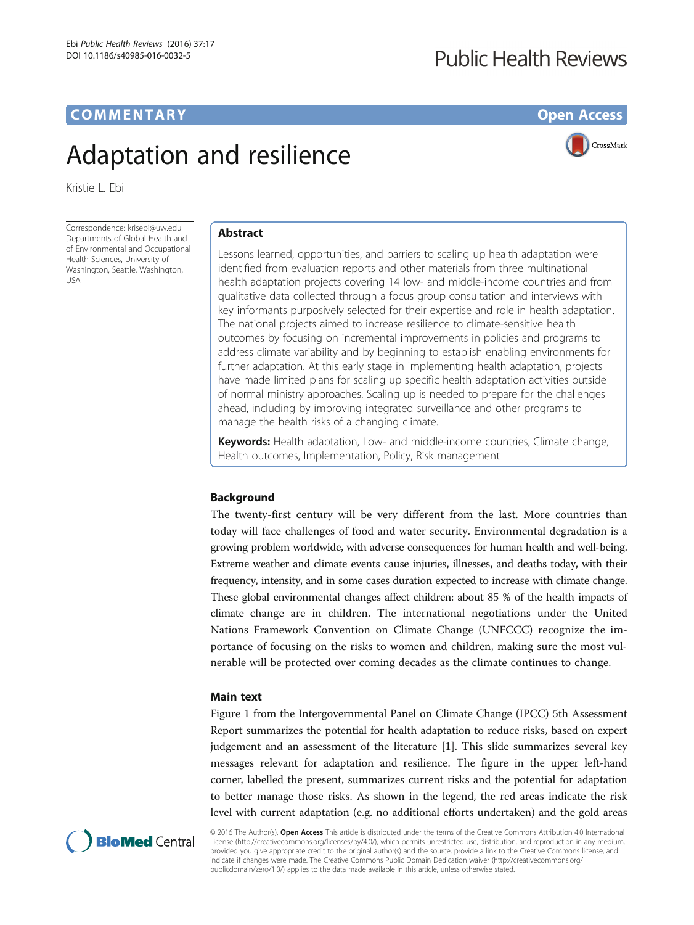# **COMMENTARY COMMENTARY Open Access**

# **Public Health Reviews**



# Adaptation and resilience

Kristie L. Ebi

Correspondence: [krisebi@uw.edu](mailto:krisebi@uw.edu) Departments of Global Health and of Environmental and Occupational Health Sciences, University of Washington, Seattle, Washington, USA

# Abstract

Lessons learned, opportunities, and barriers to scaling up health adaptation were identified from evaluation reports and other materials from three multinational health adaptation projects covering 14 low- and middle-income countries and from qualitative data collected through a focus group consultation and interviews with key informants purposively selected for their expertise and role in health adaptation. The national projects aimed to increase resilience to climate-sensitive health outcomes by focusing on incremental improvements in policies and programs to address climate variability and by beginning to establish enabling environments for further adaptation. At this early stage in implementing health adaptation, projects have made limited plans for scaling up specific health adaptation activities outside of normal ministry approaches. Scaling up is needed to prepare for the challenges ahead, including by improving integrated surveillance and other programs to manage the health risks of a changing climate.

Keywords: Health adaptation, Low- and middle-income countries, Climate change, Health outcomes, Implementation, Policy, Risk management

# Background

The twenty-first century will be very different from the last. More countries than today will face challenges of food and water security. Environmental degradation is a growing problem worldwide, with adverse consequences for human health and well-being. Extreme weather and climate events cause injuries, illnesses, and deaths today, with their frequency, intensity, and in some cases duration expected to increase with climate change. These global environmental changes affect children: about 85 % of the health impacts of climate change are in children. The international negotiations under the United Nations Framework Convention on Climate Change (UNFCCC) recognize the importance of focusing on the risks to women and children, making sure the most vulnerable will be protected over coming decades as the climate continues to change.

# Main text

Figure [1](#page-1-0) from the Intergovernmental Panel on Climate Change (IPCC) 5th Assessment Report summarizes the potential for health adaptation to reduce risks, based on expert judgement and an assessment of the literature [\[1](#page-5-0)]. This slide summarizes several key messages relevant for adaptation and resilience. The figure in the upper left-hand corner, labelled the present, summarizes current risks and the potential for adaptation to better manage those risks. As shown in the legend, the red areas indicate the risk level with current adaptation (e.g. no additional efforts undertaken) and the gold areas



© 2016 The Author(s). Open Access This article is distributed under the terms of the Creative Commons Attribution 4.0 International License ([http://creativecommons.org/licenses/by/4.0/\)](http://creativecommons.org/licenses/by/4.0/), which permits unrestricted use, distribution, and reproduction in any medium, provided you give appropriate credit to the original author(s) and the source, provide a link to the Creative Commons license, and indicate if changes were made. The Creative Commons Public Domain Dedication waiver ([http://creativecommons.org/](http://creativecommons.org/publicdomain/zero/1.0/) [publicdomain/zero/1.0/\)](http://creativecommons.org/publicdomain/zero/1.0/) applies to the data made available in this article, unless otherwise stated.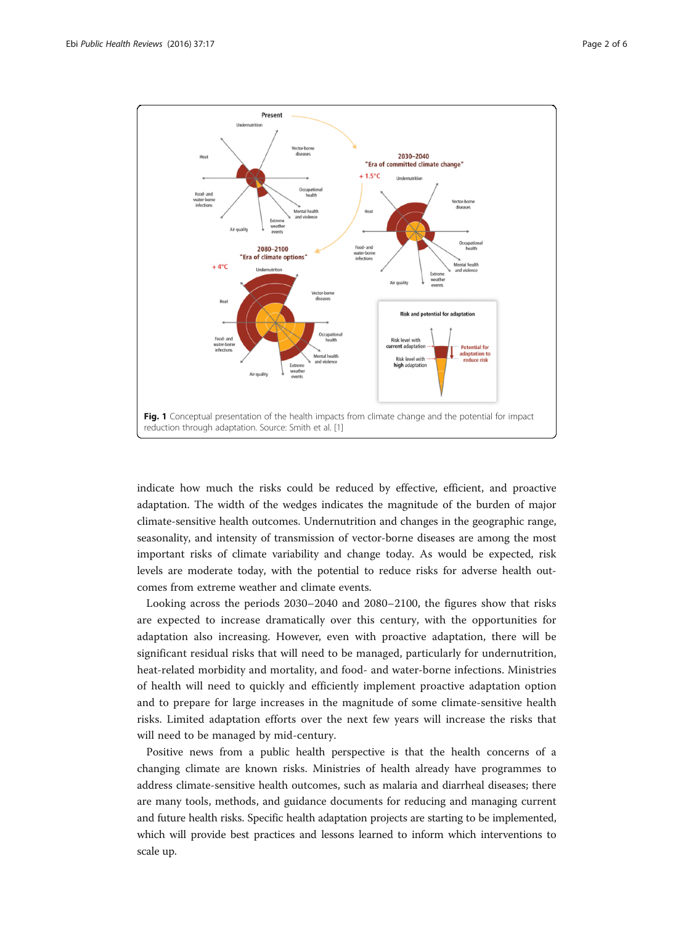<span id="page-1-0"></span>

indicate how much the risks could be reduced by effective, efficient, and proactive adaptation. The width of the wedges indicates the magnitude of the burden of major climate-sensitive health outcomes. Undernutrition and changes in the geographic range, seasonality, and intensity of transmission of vector-borne diseases are among the most important risks of climate variability and change today. As would be expected, risk levels are moderate today, with the potential to reduce risks for adverse health outcomes from extreme weather and climate events.

Looking across the periods 2030–2040 and 2080–2100, the figures show that risks are expected to increase dramatically over this century, with the opportunities for adaptation also increasing. However, even with proactive adaptation, there will be significant residual risks that will need to be managed, particularly for undernutrition, heat-related morbidity and mortality, and food- and water-borne infections. Ministries of health will need to quickly and efficiently implement proactive adaptation option and to prepare for large increases in the magnitude of some climate-sensitive health risks. Limited adaptation efforts over the next few years will increase the risks that will need to be managed by mid-century.

Positive news from a public health perspective is that the health concerns of a changing climate are known risks. Ministries of health already have programmes to address climate-sensitive health outcomes, such as malaria and diarrheal diseases; there are many tools, methods, and guidance documents for reducing and managing current and future health risks. Specific health adaptation projects are starting to be implemented, which will provide best practices and lessons learned to inform which interventions to scale up.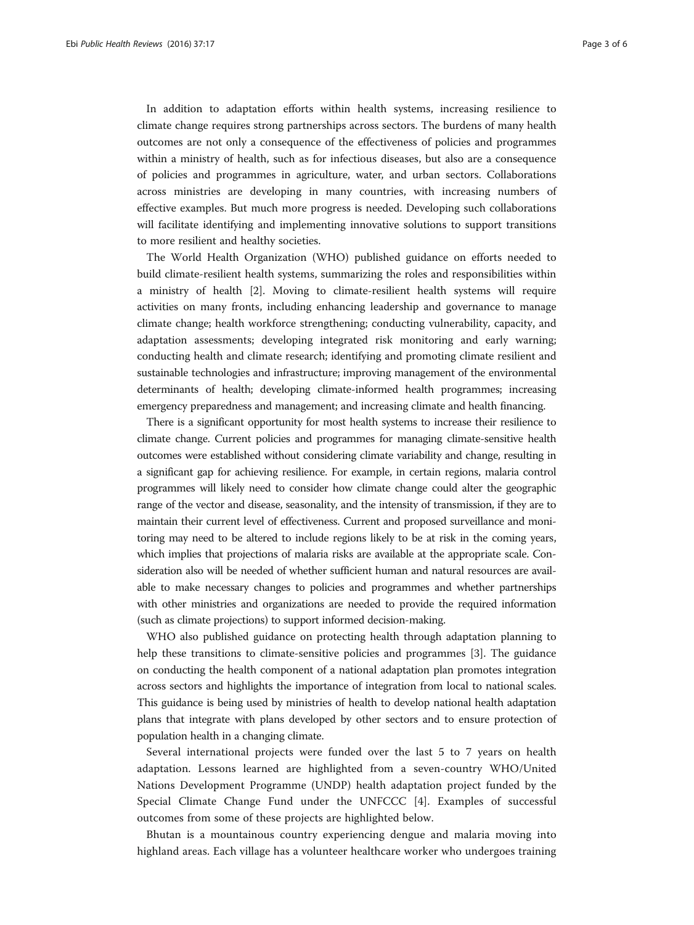In addition to adaptation efforts within health systems, increasing resilience to climate change requires strong partnerships across sectors. The burdens of many health outcomes are not only a consequence of the effectiveness of policies and programmes within a ministry of health, such as for infectious diseases, but also are a consequence of policies and programmes in agriculture, water, and urban sectors. Collaborations across ministries are developing in many countries, with increasing numbers of effective examples. But much more progress is needed. Developing such collaborations will facilitate identifying and implementing innovative solutions to support transitions to more resilient and healthy societies.

The World Health Organization (WHO) published guidance on efforts needed to build climate-resilient health systems, summarizing the roles and responsibilities within a ministry of health [\[2](#page-5-0)]. Moving to climate-resilient health systems will require activities on many fronts, including enhancing leadership and governance to manage climate change; health workforce strengthening; conducting vulnerability, capacity, and adaptation assessments; developing integrated risk monitoring and early warning; conducting health and climate research; identifying and promoting climate resilient and sustainable technologies and infrastructure; improving management of the environmental determinants of health; developing climate-informed health programmes; increasing emergency preparedness and management; and increasing climate and health financing.

There is a significant opportunity for most health systems to increase their resilience to climate change. Current policies and programmes for managing climate-sensitive health outcomes were established without considering climate variability and change, resulting in a significant gap for achieving resilience. For example, in certain regions, malaria control programmes will likely need to consider how climate change could alter the geographic range of the vector and disease, seasonality, and the intensity of transmission, if they are to maintain their current level of effectiveness. Current and proposed surveillance and monitoring may need to be altered to include regions likely to be at risk in the coming years, which implies that projections of malaria risks are available at the appropriate scale. Consideration also will be needed of whether sufficient human and natural resources are available to make necessary changes to policies and programmes and whether partnerships with other ministries and organizations are needed to provide the required information (such as climate projections) to support informed decision-making.

WHO also published guidance on protecting health through adaptation planning to help these transitions to climate-sensitive policies and programmes [[3\]](#page-5-0). The guidance on conducting the health component of a national adaptation plan promotes integration across sectors and highlights the importance of integration from local to national scales. This guidance is being used by ministries of health to develop national health adaptation plans that integrate with plans developed by other sectors and to ensure protection of population health in a changing climate.

Several international projects were funded over the last 5 to 7 years on health adaptation. Lessons learned are highlighted from a seven-country WHO/United Nations Development Programme (UNDP) health adaptation project funded by the Special Climate Change Fund under the UNFCCC [[4\]](#page-5-0). Examples of successful outcomes from some of these projects are highlighted below.

Bhutan is a mountainous country experiencing dengue and malaria moving into highland areas. Each village has a volunteer healthcare worker who undergoes training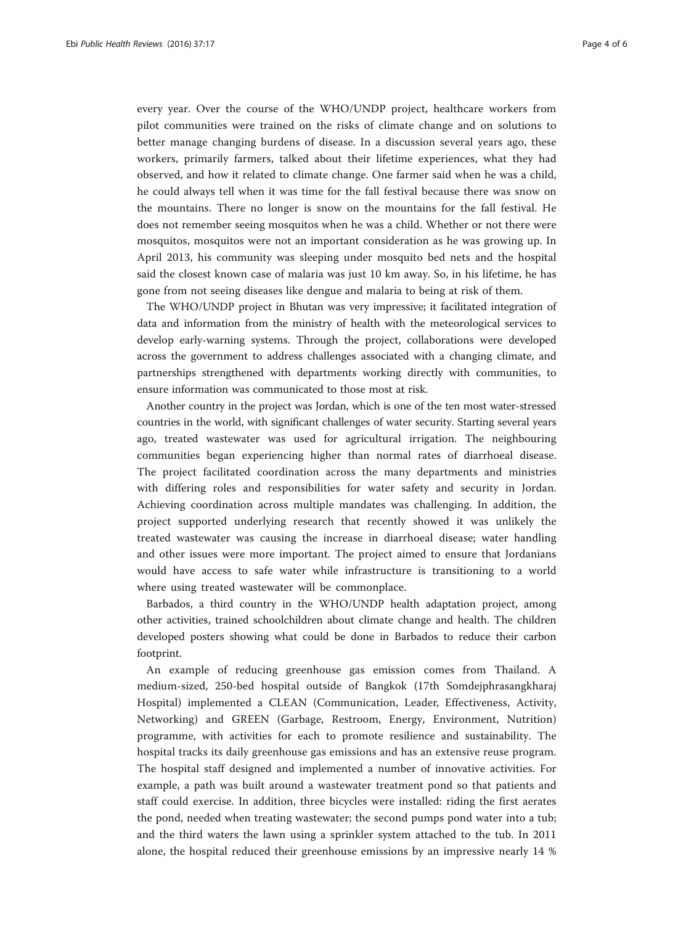every year. Over the course of the WHO/UNDP project, healthcare workers from pilot communities were trained on the risks of climate change and on solutions to better manage changing burdens of disease. In a discussion several years ago, these workers, primarily farmers, talked about their lifetime experiences, what they had observed, and how it related to climate change. One farmer said when he was a child, he could always tell when it was time for the fall festival because there was snow on the mountains. There no longer is snow on the mountains for the fall festival. He does not remember seeing mosquitos when he was a child. Whether or not there were mosquitos, mosquitos were not an important consideration as he was growing up. In April 2013, his community was sleeping under mosquito bed nets and the hospital said the closest known case of malaria was just 10 km away. So, in his lifetime, he has gone from not seeing diseases like dengue and malaria to being at risk of them.

The WHO/UNDP project in Bhutan was very impressive; it facilitated integration of data and information from the ministry of health with the meteorological services to develop early-warning systems. Through the project, collaborations were developed across the government to address challenges associated with a changing climate, and partnerships strengthened with departments working directly with communities, to ensure information was communicated to those most at risk.

Another country in the project was Jordan, which is one of the ten most water-stressed countries in the world, with significant challenges of water security. Starting several years ago, treated wastewater was used for agricultural irrigation. The neighbouring communities began experiencing higher than normal rates of diarrhoeal disease. The project facilitated coordination across the many departments and ministries with differing roles and responsibilities for water safety and security in Jordan. Achieving coordination across multiple mandates was challenging. In addition, the project supported underlying research that recently showed it was unlikely the treated wastewater was causing the increase in diarrhoeal disease; water handling and other issues were more important. The project aimed to ensure that Jordanians would have access to safe water while infrastructure is transitioning to a world where using treated wastewater will be commonplace.

Barbados, a third country in the WHO/UNDP health adaptation project, among other activities, trained schoolchildren about climate change and health. The children developed posters showing what could be done in Barbados to reduce their carbon footprint.

An example of reducing greenhouse gas emission comes from Thailand. A medium-sized, 250-bed hospital outside of Bangkok (17th Somdejphrasangkharaj Hospital) implemented a CLEAN (Communication, Leader, Effectiveness, Activity, Networking) and GREEN (Garbage, Restroom, Energy, Environment, Nutrition) programme, with activities for each to promote resilience and sustainability. The hospital tracks its daily greenhouse gas emissions and has an extensive reuse program. The hospital staff designed and implemented a number of innovative activities. For example, a path was built around a wastewater treatment pond so that patients and staff could exercise. In addition, three bicycles were installed: riding the first aerates the pond, needed when treating wastewater; the second pumps pond water into a tub; and the third waters the lawn using a sprinkler system attached to the tub. In 2011 alone, the hospital reduced their greenhouse emissions by an impressive nearly 14 %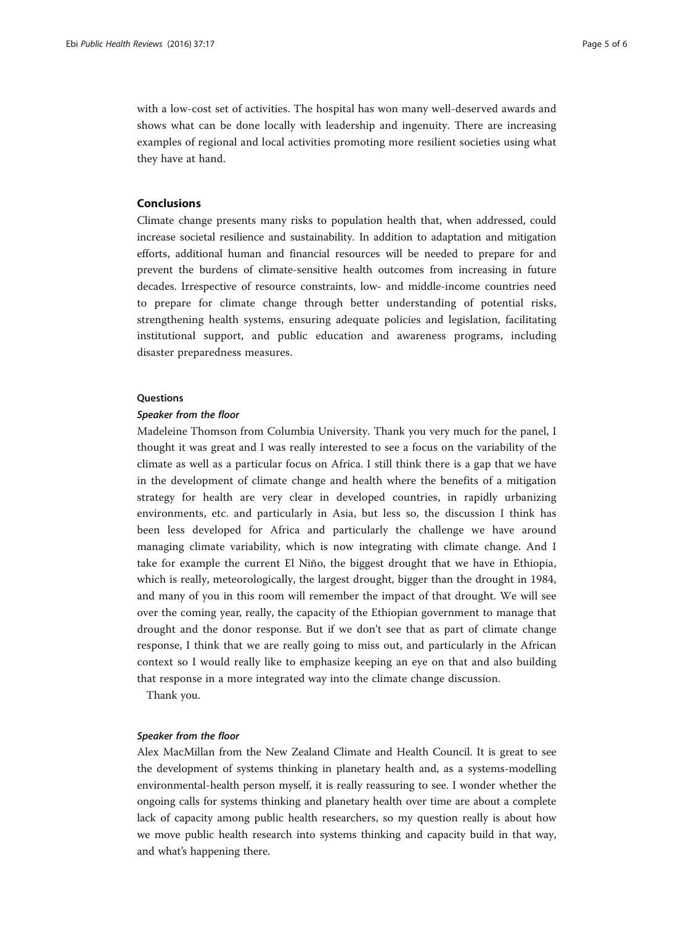with a low-cost set of activities. The hospital has won many well-deserved awards and shows what can be done locally with leadership and ingenuity. There are increasing examples of regional and local activities promoting more resilient societies using what they have at hand.

# Conclusions

Climate change presents many risks to population health that, when addressed, could increase societal resilience and sustainability. In addition to adaptation and mitigation efforts, additional human and financial resources will be needed to prepare for and prevent the burdens of climate-sensitive health outcomes from increasing in future decades. Irrespective of resource constraints, low- and middle-income countries need to prepare for climate change through better understanding of potential risks, strengthening health systems, ensuring adequate policies and legislation, facilitating institutional support, and public education and awareness programs, including disaster preparedness measures.

# **Ouestions**

#### Speaker from the floor

Madeleine Thomson from Columbia University. Thank you very much for the panel, I thought it was great and I was really interested to see a focus on the variability of the climate as well as a particular focus on Africa. I still think there is a gap that we have in the development of climate change and health where the benefits of a mitigation strategy for health are very clear in developed countries, in rapidly urbanizing environments, etc. and particularly in Asia, but less so, the discussion I think has been less developed for Africa and particularly the challenge we have around managing climate variability, which is now integrating with climate change. And I take for example the current El Niño, the biggest drought that we have in Ethiopia, which is really, meteorologically, the largest drought, bigger than the drought in 1984, and many of you in this room will remember the impact of that drought. We will see over the coming year, really, the capacity of the Ethiopian government to manage that drought and the donor response. But if we don't see that as part of climate change response, I think that we are really going to miss out, and particularly in the African context so I would really like to emphasize keeping an eye on that and also building that response in a more integrated way into the climate change discussion.

Thank you.

# Speaker from the floor

Alex MacMillan from the New Zealand Climate and Health Council. It is great to see the development of systems thinking in planetary health and, as a systems-modelling environmental-health person myself, it is really reassuring to see. I wonder whether the ongoing calls for systems thinking and planetary health over time are about a complete lack of capacity among public health researchers, so my question really is about how we move public health research into systems thinking and capacity build in that way, and what's happening there.